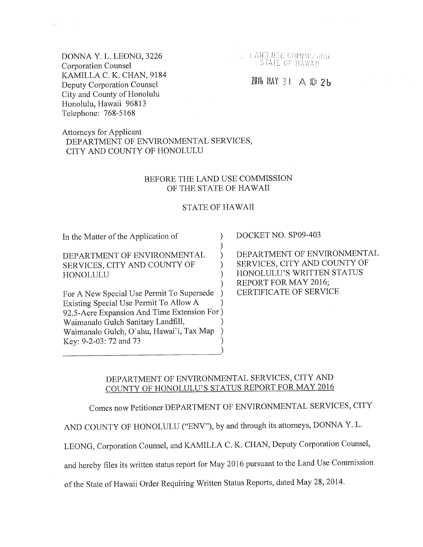DONNA Y. L. LEONG, 3226 Corporation Counsel KAMILLA C. K. CHAN, 9184 Deputy Corporation Counsel City and County of Honolulu Honolulu, Hawaii 96813 Telephone: 768-5168

 $\epsilon$  .

A LANDUSE COMMISSION STATE OF HAWAII

# $201b$  MAY 31  $\triangle$  10:2b

Attorneys for Applicant DEPARTMENT OF ENVIRONMENTAL SERVICES, CITY AND COUNTY OF HONOLULU

#### BEFORE THE LAND USE COMMISSION OF THE STATE OF HAWAII

#### STATE OF HAWAII

) ) ) ) ) )

In the Matter of the Application of

DEPARTMENT OF ENVIRONMENTAL SERVICES, CITY AND COUNTY OF HONOLULU

For A New Special Use Permit To Supersede Existing Special Use Permit To Allow A 92.5-Acre Expansion And Time Extension For ) Waimanalo Gulch Sanitary Landfill, Waimanalo Gulch, O'ahu, Hawai'i, Tax Map Key: 9-2-03:72 and 73 ) ) ) ) )  $\big)$ 

DOCKET NO. SP09-403

DEPARTMENT OF ENVIRONMENTAL SERVICES, CITY AND COUNTY OF HONOLULU'S WRITTEN STATUS REPORT FOR MAY 2016; CERTIFICATE OF SERVICE

# DEPARTMENT OF ENVIRONMENTAL SERVICES, CITY AND COUNTY OF HONOLULU'S STATUS REPORT FOR MAY 2016

Comes now Petitioner DEPARTMENT OF ENVIRONMENTAL SERVICES, CITY

AND COUNTY OF HONOLULU ("ENV"), by and through its attorneys, DONNA Y. L.

LEONG, Corporation Counsel, and KAMILLA C. K. CHAN, Deputy Corporation Counsel,

and hereby files its written status report for May 2016 pursuant to the Land Use Commission

of the State of Hawaii Order Requiring Written Status Reports, dated May 28, 2014.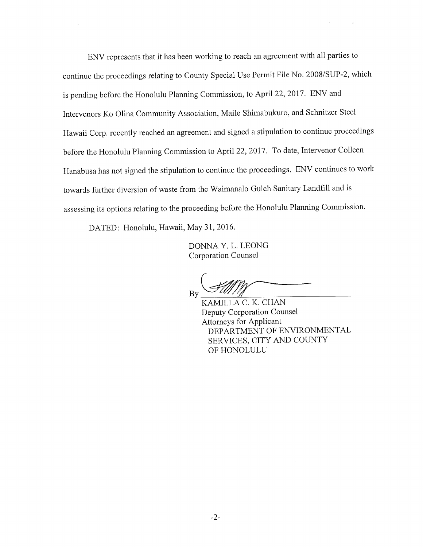ENV represents that it has been working to reach an agreement with all parties to continue the proceedings relating to County Special Use Permit File No. 2008/SUP-2, which is pending before the Honolulu Planning Commission, to April 22, 2017. ENV and Intervenors Ko Olina Community Association, Maile Shimabukuro, and Schnitzer Steel Hawaii Corp. recently reached an agreement and signed a stipulation to continue proceedings before the Honolulu Planning Commission to April 22, 2017. To date, Intervenor Colleen Hanabusa has not signed the stipulation to continue the proceedings. ENV continues to work towards further diversion of waste from the Waimanalo Gulch Sanitary Landfill and is assessing its options relating to the proceeding before the Honolulu Planning Commission.

DATED: Honolulu, Hawaii, May 31, 2016.

 $\sim$   $^{-1}$ 

DONNA Y. L. LEONG Corporation Counsel

By

KAMILLA C. K. CHAN Deputy Corporation Counsel Attorneys for Applicant DEPARTMENT OF ENVIRONMENTAL SERVICES, CITY AND COUNTY OF HONOLULU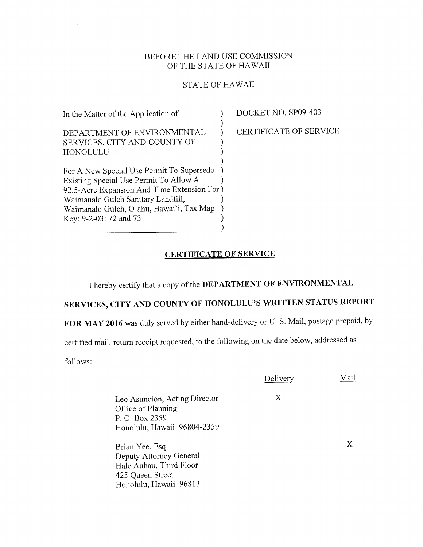#### BEFORE THE LAND USE COMMISSION OF THE STATE OF HAWAII

## STATE OF HAWAII

| In the Matter of the Application of         |  |
|---------------------------------------------|--|
|                                             |  |
| DEPARTMENT OF ENVIRONMENTAL                 |  |
| SERVICES, CITY AND COUNTY OF                |  |
| HONOLULU                                    |  |
|                                             |  |
| For A New Special Use Permit To Supersede   |  |
| Existing Special Use Permit To Allow A      |  |
| 92.5-Acre Expansion And Time Extension For) |  |
| Waimanalo Gulch Sanitary Landfill,          |  |
| Waimanalo Gulch, O'ahu, Hawai'i, Tax Map    |  |
| Key: 9-2-03: 72 and 73                      |  |
|                                             |  |

DOCKET NO, SP09-403

CERTIFICATE OF SERVICE

 $\mathbf{r} = \mathbf{r} \times \mathbf{r}$ 

 $\sim 10^{-1}$ 

# CERTIFICATE OF SERVICE

I hereby certify that a copy of the DEPARTMENT OF ENVIRONMENTAL

# SERVICES, CITY AND COUNTY OF HONOLULU'S WRITTEN STATUS REPORT

FOR MAY 2016 was duly served by either hand-delivery or U. S. Mail, postage prepaid, by

certified mail, return receipt requested, to the following on the date below, addressed as

follows:

 $\hat{\nu}$ 

|                                                                                                                     | Delivery | Aail |
|---------------------------------------------------------------------------------------------------------------------|----------|------|
| Leo Asuncion, Acting Director<br>Office of Planning<br>P. O. Box 2359<br>Honolulu, Hawaii 96804-2359                | X        |      |
| Brian Yee, Esq.<br>Deputy Attorney General<br>Hale Auhau, Third Floor<br>425 Queen Street<br>Honolulu, Hawaii 96813 |          | X    |